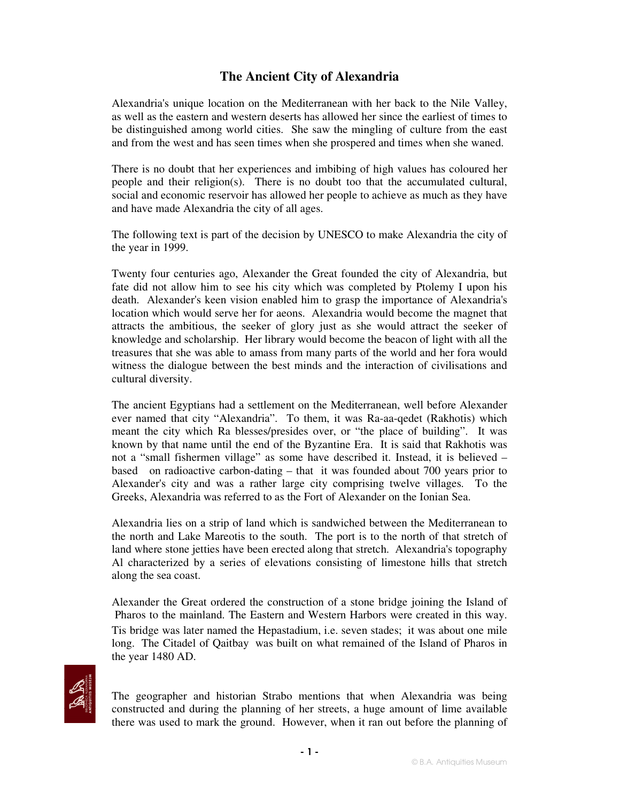## **The Ancient City of Alexandria**

Alexandria's unique location on the Mediterranean with her back to the Nile Valley, as well as the eastern and western deserts has allowed her since the earliest of times to be distinguished among world cities. She saw the mingling of culture from the east and from the west and has seen times when she prospered and times when she waned.

There is no doubt that her experiences and imbibing of high values has coloured her people and their religion(s). There is no doubt too that the accumulated cultural, social and economic reservoir has allowed her people to achieve as much as they have and have made Alexandria the city of all ages.

The following text is part of the decision by UNESCO to make Alexandria the city of the year in 1999.

Twenty four centuries ago, Alexander the Great founded the city of Alexandria, but fate did not allow him to see his city which was completed by Ptolemy I upon his death. Alexander's keen vision enabled him to grasp the importance of Alexandria's location which would serve her for aeons. Alexandria would become the magnet that attracts the ambitious, the seeker of glory just as she would attract the seeker of knowledge and scholarship. Her library would become the beacon of light with all the treasures that she was able to amass from many parts of the world and her fora would witness the dialogue between the best minds and the interaction of civilisations and cultural diversity.

The ancient Egyptians had a settlement on the Mediterranean, well before Alexander ever named that city "Alexandria". To them, it was Ra-aa-qedet (Rakhotis) which meant the city which Ra blesses/presides over, or "the place of building". It was known by that name until the end of the Byzantine Era. It is said that Rakhotis was not a "small fishermen village" as some have described it. Instead, it is believed – based on radioactive carbon-dating – that it was founded about 700 years prior to Alexander's city and was a rather large city comprising twelve villages. To the Greeks, Alexandria was referred to as the Fort of Alexander on the Ionian Sea.

Alexandria lies on a strip of land which is sandwiched between the Mediterranean to the north and Lake Mareotis to the south. The port is to the north of that stretch of land where stone jetties have been erected along that stretch. Alexandria's topography Al characterized by a series of elevations consisting of limestone hills that stretch along the sea coast.

Alexander the Great ordered the construction of a stone bridge joining the Island of Pharos to the mainland. The Eastern and Western Harbors were created in this way. Tis bridge was later named the Hepastadium, i.e. seven stades; it was about one mile long. The Citadel of Qaitbay was built on what remained of the Island of Pharos in the year 1480 AD.



The geographer and historian Strabo mentions that when Alexandria was being constructed and during the planning of her streets, a huge amount of lime available there was used to mark the ground. However, when it ran out before the planning of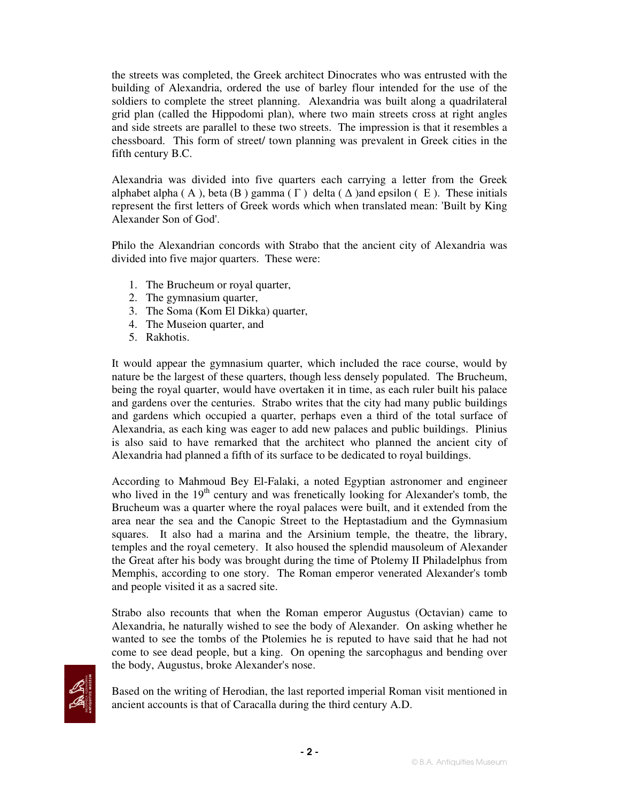the streets was completed, the Greek architect Dinocrates who was entrusted with the building of Alexandria, ordered the use of barley flour intended for the use of the soldiers to complete the street planning. Alexandria was built along a quadrilateral grid plan (called the Hippodomi plan), where two main streets cross at right angles and side streets are parallel to these two streets. The impression is that it resembles a chessboard. This form of street/ town planning was prevalent in Greek cities in the fifth century B.C.

Alexandria was divided into five quarters each carrying a letter from the Greek alphabet alpha (A), beta (B) gamma ( $\Gamma$ ) delta ( $\Delta$ ) and epsilon (E). These initials represent the first letters of Greek words which when translated mean: 'Built by King Alexander Son of God'.

Philo the Alexandrian concords with Strabo that the ancient city of Alexandria was divided into five major quarters. These were:

- 1. The Brucheum or royal quarter,
- 2. The gymnasium quarter,
- 3. The Soma (Kom El Dikka) quarter,
- 4. The Museion quarter, and
- 5. Rakhotis.

It would appear the gymnasium quarter, which included the race course, would by nature be the largest of these quarters, though less densely populated. The Brucheum, being the royal quarter, would have overtaken it in time, as each ruler built his palace and gardens over the centuries. Strabo writes that the city had many public buildings and gardens which occupied a quarter, perhaps even a third of the total surface of Alexandria, as each king was eager to add new palaces and public buildings. Plinius is also said to have remarked that the architect who planned the ancient city of Alexandria had planned a fifth of its surface to be dedicated to royal buildings.

According to Mahmoud Bey El-Falaki, a noted Egyptian astronomer and engineer who lived in the 19<sup>th</sup> century and was frenetically looking for Alexander's tomb, the Brucheum was a quarter where the royal palaces were built, and it extended from the area near the sea and the Canopic Street to the Heptastadium and the Gymnasium squares. It also had a marina and the Arsinium temple, the theatre, the library, temples and the royal cemetery. It also housed the splendid mausoleum of Alexander the Great after his body was brought during the time of Ptolemy II Philadelphus from Memphis, according to one story. The Roman emperor venerated Alexander's tomb and people visited it as a sacred site.

Strabo also recounts that when the Roman emperor Augustus (Octavian) came to Alexandria, he naturally wished to see the body of Alexander. On asking whether he wanted to see the tombs of the Ptolemies he is reputed to have said that he had not come to see dead people, but a king. On opening the sarcophagus and bending over the body, Augustus, broke Alexander's nose.



Based on the writing of Herodian, the last reported imperial Roman visit mentioned in ancient accounts is that of Caracalla during the third century A.D.